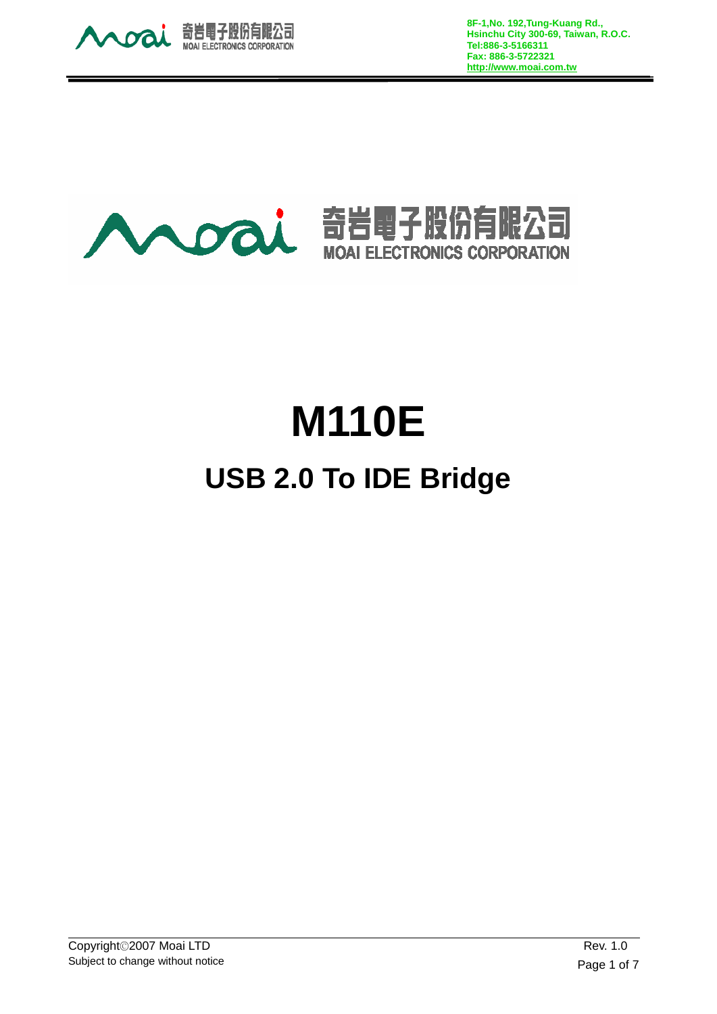

**8F-1,No. 192,Tung-Kuang Rd., Hsinchu City 300-69, Taiwan, R.O.C. Tel:886-3-5166311 Fax: 886-3-5722321 http://www.moai.com.tw**



# **M110E USB 2.0 To IDE Bridge**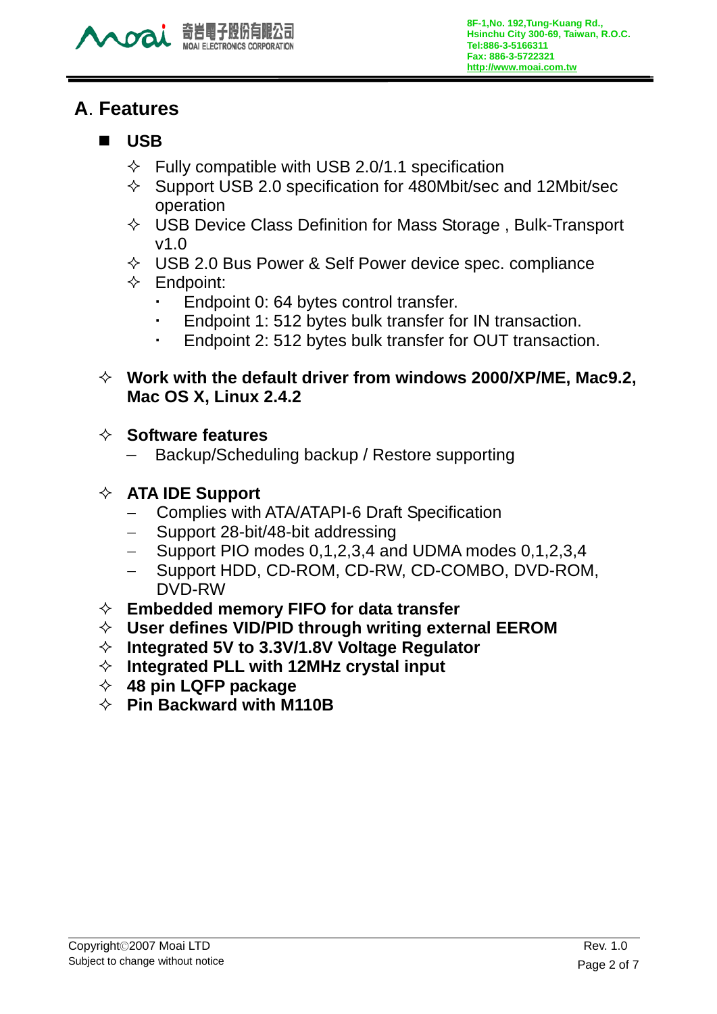

## **A**. **Features**

#### **USB**

- $\Diamond$  Fully compatible with USB 2.0/1.1 specification
- $\Diamond$  Support USB 2.0 specification for 480Mbit/sec and 12Mbit/sec operation
- $\Diamond$  USB Device Class Definition for Mass Storage, Bulk-Transport v1.0
- $\div$  USB 2.0 Bus Power & Self Power device spec. compliance
- $\Leftrightarrow$  Endpoint:
	- Endpoint 0: 64 bytes control transfer.
	- Endpoint 1: 512 bytes bulk transfer for IN transaction.
	- Endpoint 2: 512 bytes bulk transfer for OUT transaction.
- **Work with the default driver from windows 2000/XP/ME, Mac9.2, Mac OS X, Linux 2.4.2**

#### **Software features**

Backup/Scheduling backup / Restore supporting

#### **ATA IDE Support**

- − Complies with ATA/ATAPI-6 Draft Specification
- − Support 28-bit/48-bit addressing
- − Support PIO modes 0,1,2,3,4 and UDMA modes 0,1,2,3,4
- − Support HDD, CD-ROM, CD-RW, CD-COMBO, DVD-ROM, DVD-RW
- **Embedded memory FIFO for data transfer**
- **User defines VID/PID through writing external EEROM**
- **Integrated 5V to 3.3V/1.8V Voltage Regulator**
- **Integrated PLL with 12MHz crystal input**
- **48 pin LQFP package**
- **Pin Backward with M110B**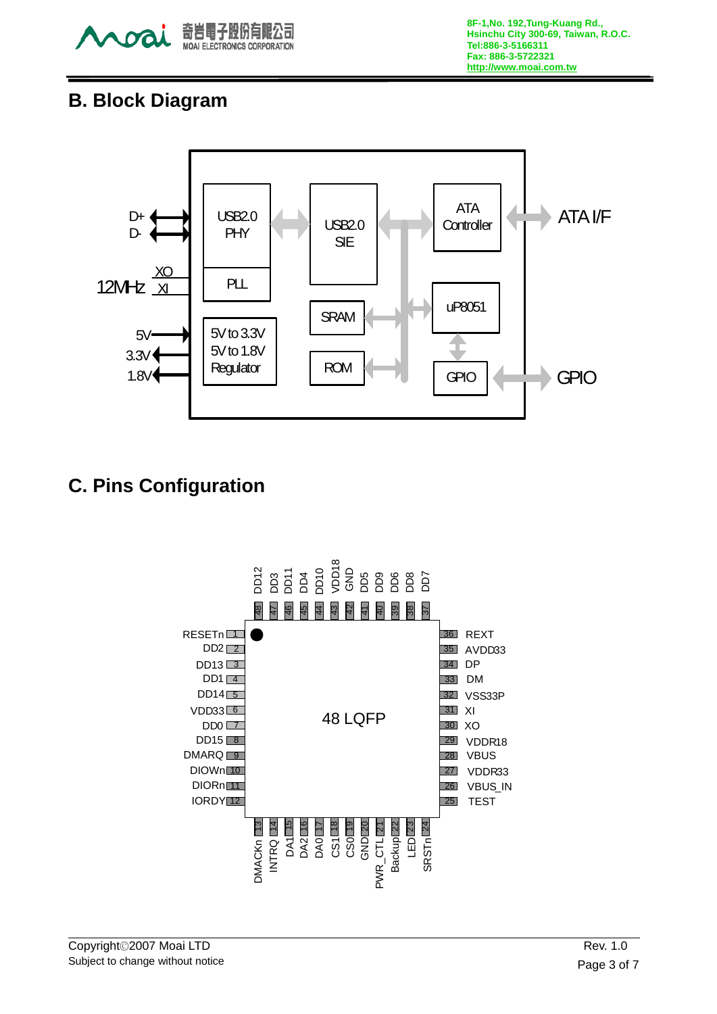

## **B. Block Diagram**



# **C. Pins Configuration**

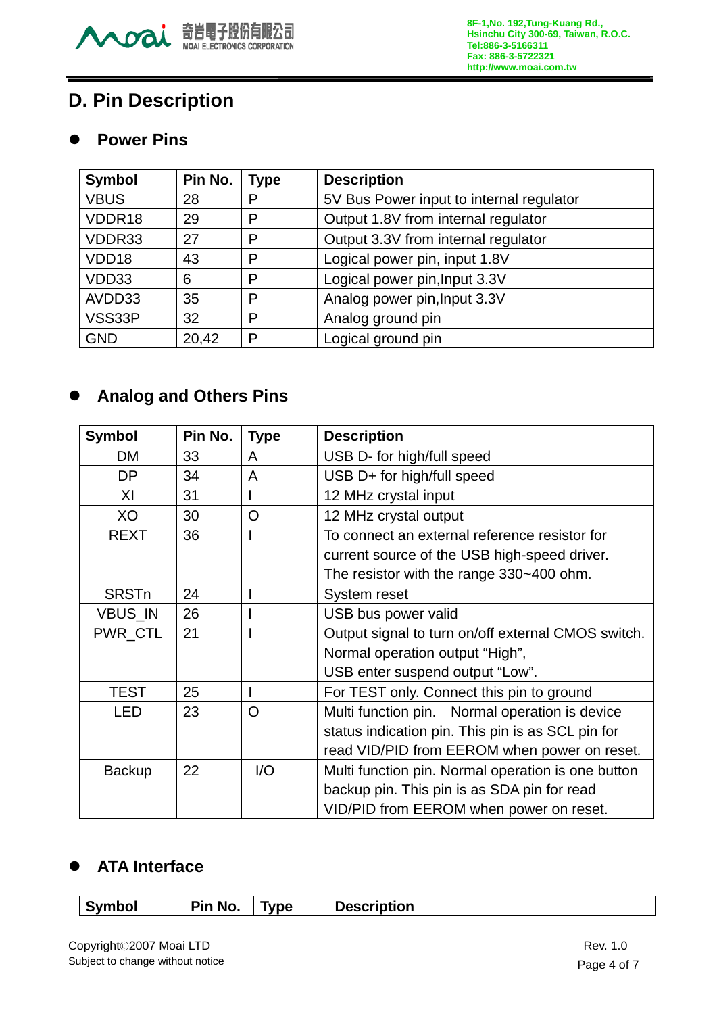

# **D. Pin Description**

#### **•** Power Pins

| <b>Symbol</b> | Pin No. | <b>Type</b> | <b>Description</b>                       |
|---------------|---------|-------------|------------------------------------------|
| <b>VBUS</b>   | 28      | P           | 5V Bus Power input to internal regulator |
| VDDR18        | 29      | P           | Output 1.8V from internal regulator      |
| VDDR33        | 27      | P           | Output 3.3V from internal regulator      |
| VDD18         | 43      | P           | Logical power pin, input 1.8V            |
| VDD33         | 6       | P           | Logical power pin, Input 3.3V            |
| AVDD33        | 35      | P           | Analog power pin, Input 3.3V             |
| VSS33P        | 32      | P           | Analog ground pin                        |
| <b>GND</b>    | 20,42   | P           | Logical ground pin                       |

## **•** Analog and Others Pins

| <b>Symbol</b> | Pin No. | <b>Type</b>    | <b>Description</b>                                 |  |
|---------------|---------|----------------|----------------------------------------------------|--|
| DM            | 33      | A              | USB D- for high/full speed                         |  |
| DP            | 34      | A              | USB D+ for high/full speed                         |  |
| XI            | 31      |                | 12 MHz crystal input                               |  |
| XO            | 30      | $\overline{O}$ | 12 MHz crystal output                              |  |
| <b>REXT</b>   | 36      |                | To connect an external reference resistor for      |  |
|               |         |                | current source of the USB high-speed driver.       |  |
|               |         |                | The resistor with the range 330~400 ohm.           |  |
| <b>SRSTn</b>  | 24      |                | System reset                                       |  |
| VBUS_IN       | 26      |                | USB bus power valid                                |  |
| PWR CTL       | 21      |                | Output signal to turn on/off external CMOS switch. |  |
|               |         |                | Normal operation output "High",                    |  |
|               |         |                | USB enter suspend output "Low".                    |  |
| <b>TEST</b>   | 25      |                | For TEST only. Connect this pin to ground          |  |
| <b>LED</b>    | 23      | O              | Multi function pin. Normal operation is device     |  |
|               |         |                | status indication pin. This pin is as SCL pin for  |  |
|               |         |                | read VID/PID from EEROM when power on reset.       |  |
| <b>Backup</b> | 22      | I/O            | Multi function pin. Normal operation is one button |  |
|               |         |                | backup pin. This pin is as SDA pin for read        |  |
|               |         |                | VID/PID from EEROM when power on reset.            |  |

## $\bullet$  ATA Interface

| Symbol | No.<br>Pin | Type | <b>Description</b> |
|--------|------------|------|--------------------|
|        |            |      |                    |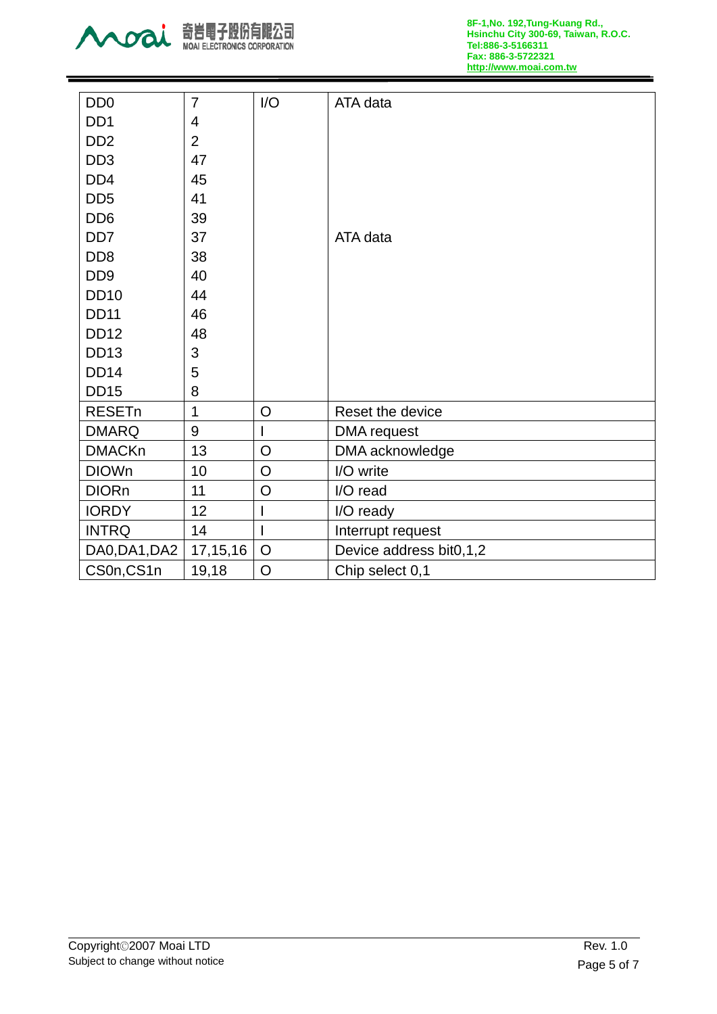

| D <sub>D</sub> <sub>0</sub> | $\overline{7}$   | I/O            | ATA data                |
|-----------------------------|------------------|----------------|-------------------------|
| DD <sub>1</sub>             | 4                |                |                         |
| D <sub>D</sub> <sub>2</sub> | $\overline{2}$   |                |                         |
| DD <sub>3</sub>             | 47               |                |                         |
| DD <sub>4</sub>             | 45               |                |                         |
| DD <sub>5</sub>             | 41               |                |                         |
| DD <sub>6</sub>             | 39               |                |                         |
| DD <sub>7</sub>             | 37               |                | ATA data                |
| DD <sub>8</sub>             | 38               |                |                         |
| D <sub>D</sub> <sub>9</sub> | 40               |                |                         |
| <b>DD10</b>                 | 44               |                |                         |
| <b>DD11</b>                 | 46               |                |                         |
| <b>DD12</b>                 | 48               |                |                         |
| <b>DD13</b>                 | 3                |                |                         |
| <b>DD14</b>                 | 5                |                |                         |
| <b>DD15</b>                 | 8                |                |                         |
| <b>RESETn</b>               | $\mathbf{1}$     | $\circ$        | Reset the device        |
| <b>DMARQ</b>                | $\boldsymbol{9}$ | T              | <b>DMA</b> request      |
| <b>DMACKn</b>               | 13               | $\overline{O}$ | DMA acknowledge         |
| <b>DIOWn</b>                | 10               | $\circ$        | I/O write               |
| <b>DIORn</b>                | 11               | $\overline{O}$ | I/O read                |
| <b>IORDY</b>                | 12               |                | I/O ready               |
| <b>INTRQ</b>                | 14               | $\overline{1}$ | Interrupt request       |
| DA0, DA1, DA2               | 17, 15, 16       | $\overline{O}$ | Device address bit0,1,2 |
| CS0n,CS1n                   | 19,18            | $\overline{O}$ | Chip select 0,1         |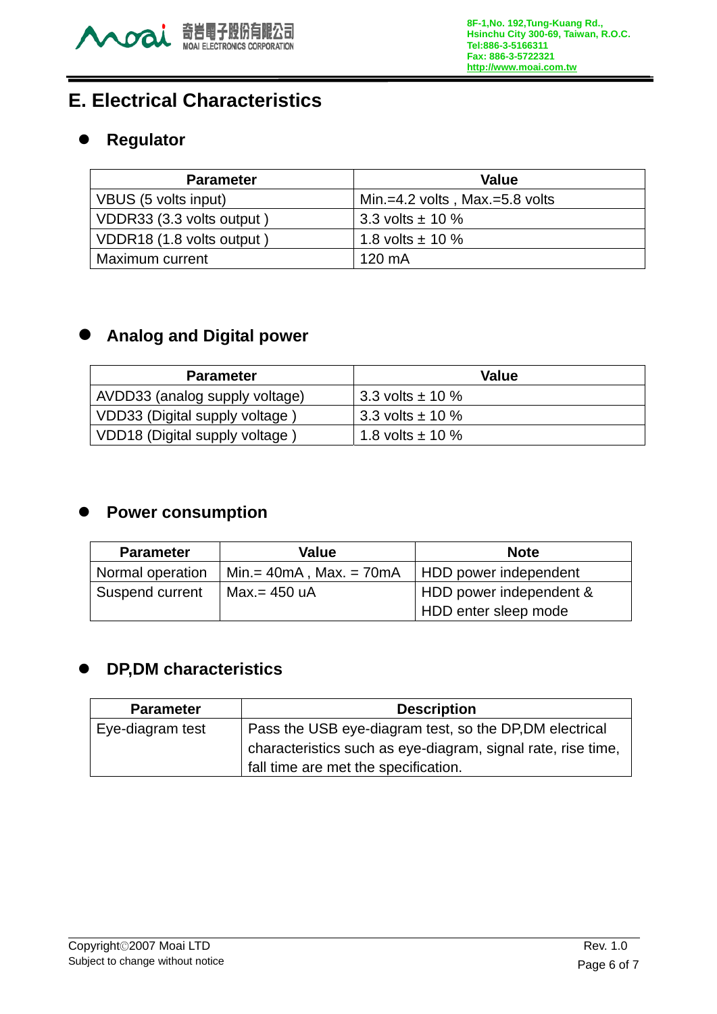

# **E. Electrical Characteristics**

### **•** Regulator

| <b>Parameter</b>          | Value                          |
|---------------------------|--------------------------------|
| VBUS (5 volts input)      | Min.=4.2 volts, Max.=5.8 volts |
| VDDR33 (3.3 volts output) | 3.3 volts $\pm$ 10 %           |
| VDDR18 (1.8 volts output) | 1.8 volts $\pm$ 10 %           |
| Maximum current           | 120 mA                         |

### **• Analog and Digital power**

| <b>Parameter</b>               | Value                   |
|--------------------------------|-------------------------|
| AVDD33 (analog supply voltage) | 3.3 volts $\pm$ 10 %    |
| VDD33 (Digital supply voltage) | $13.3$ volts $\pm$ 10 % |
| VDD18 (Digital supply voltage) | 1.8 volts $\pm$ 10 %    |

## **•** Power consumption

| <b>Parameter</b> | Value                      | <b>Note</b>             |  |
|------------------|----------------------------|-------------------------|--|
| Normal operation | $Min = 40mA$ , Max. = 70mA | HDD power independent   |  |
| Suspend current  | Max.= 450 uA               | HDD power independent & |  |
|                  |                            | HDD enter sleep mode    |  |

## z **DP,DM characteristics**

| <b>Parameter</b> | <b>Description</b>                                           |  |
|------------------|--------------------------------------------------------------|--|
| Eye-diagram test | Pass the USB eye-diagram test, so the DP, DM electrical      |  |
|                  | characteristics such as eye-diagram, signal rate, rise time, |  |
|                  | fall time are met the specification.                         |  |